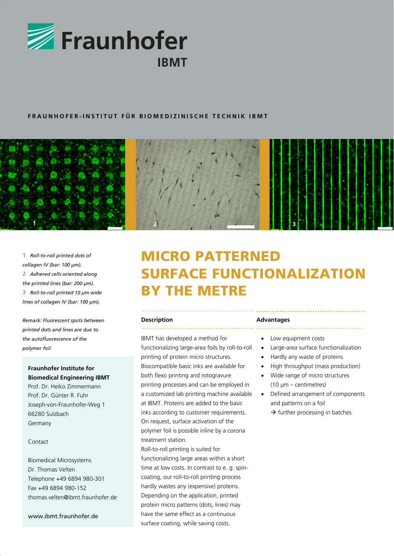

## **FRAUNHOFER-INSTITUT FÜR BIOMEDIZINISCHE TECHNIK IBMT**



**1** *Roll-to-roll printed dots of collagen IV (bar: 100 μm).*  **2** *Adhered cells oriented along the printed lines (bar: 200 μm).*  **3** *Roll-to-roll printed 10 μm wide lines of collagen IV (bar: 100 μm).* 

*Remark: Fluorescent spots between printed dots and lines are due to the autofluorescence of the polymer foil.* 

# **Fraunhofer Institute for Biomedical Engineering IBMT**

Prof. Dr. Heiko Zimmermann Prof. Dr. Günter R. Fuhr Joseph-von-Fraunhofer-Weg 1 66280 Sulzbach Germany

#### Contact

Biomedical Microsystems Dr. Thomas Velten Telephone +49 6894 980-301 Fax +49 6894 980-152 thomas velten@ibmt fraunhofer.de

www.ibmt.fraunhofer.de

# MICRO PATTERNED SURFACE FUNCTIONALIZATION BY THE METRE

#### **Description**

IBMT has developed a method for functionalizing large-area foils by roll-to-roll printing of protein micro structures. Biocompatible basic inks are available for both flexo printing and rotogravure printing processes and can be employed in a customized lab printing machine available at IBMT. Proteins are added to the basic inks according to customer requirements. On request, surface activation of the polymer foil is possible inline by a corona treatment station.

Roll-to-roll printing is suited for functionalizing large areas within a short time at low costs. In contrast to e. g. spincoating, our roll-to-roll printing process hardly wastes any (expensive) proteins. Depending on the application, printed protein micro patterns (dots, lines) may have the same effect as a continuous surface coating, while saving costs.

#### **Advantages**

- Low equipment costs
- Large-area surface functionalization
- Hardly any waste of proteins
- High throughput (mass production)
- Wide range of micro structures (10 μm – centimetres)
- Defined arrangement of components and patterns on a foil  $\rightarrow$  further processing in batches